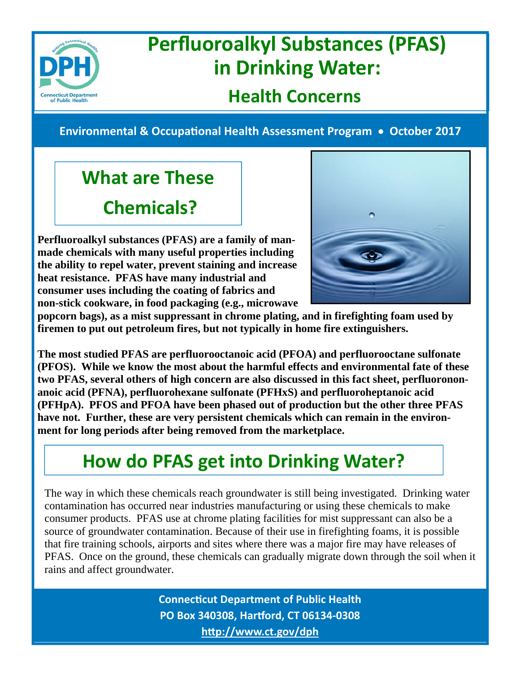

## **Perfluoroalkyl Substances (PFAS) in Drinking Water:**

#### **Health Concerns**

**Environmental & OccupaƟonal Health Assessment Program October 2017**

### **What are These Chemicals?**

**Perfluoroalkyl substances (PFAS) are a family of manmade chemicals with many useful properties including the ability to repel water, prevent staining and increase heat resistance. PFAS have many industrial and consumer uses including the coating of fabrics and non-stick cookware, in food packaging (e.g., microwave** 



**popcorn bags), as a mist suppressant in chrome plating, and in firefighting foam used by firemen to put out petroleum fires, but not typically in home fire extinguishers.** 

**The most studied PFAS are perfluorooctanoic acid (PFOA) and perfluorooctane sulfonate (PFOS). While we know the most about the harmful effects and environmental fate of these two PFAS, several others of high concern are also discussed in this fact sheet, perfluorononanoic acid (PFNA), perfluorohexane sulfonate (PFHxS) and perfluoroheptanoic acid (PFHpA). PFOS and PFOA have been phased out of production but the other three PFAS have not. Further, these are very persistent chemicals which can remain in the environment for long periods after being removed from the marketplace.** 

### **How do PFAS get into Drinking Water?**

The way in which these chemicals reach groundwater is still being investigated. Drinking water contamination has occurred near industries manufacturing or using these chemicals to make consumer products. PFAS use at chrome plating facilities for mist suppressant can also be a source of groundwater contamination. Because of their use in firefighting foams, it is possible that fire training schools, airports and sites where there was a major fire may have releases of PFAS. Once on the ground, these chemicals can gradually migrate down through the soil when it rains and affect groundwater.

> **ConnecƟcut Department of Public Health PO Box 340308, Harƞord, CT 06134‐0308 hƩp://www.ct.gov/dph**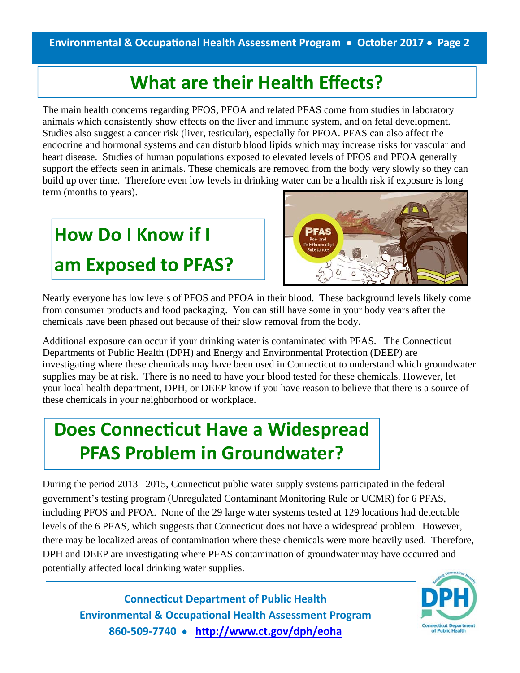#### **What are their Health Effects?**

The main health concerns regarding PFOS, PFOA and related PFAS come from studies in laboratory animals which consistently show effects on the liver and immune system, and on fetal development. Studies also suggest a cancer risk (liver, testicular), especially for PFOA. PFAS can also affect the endocrine and hormonal systems and can disturb blood lipids which may increase risks for vascular and heart disease. Studies of human populations exposed to elevated levels of PFOS and PFOA generally support the effects seen in animals. These chemicals are removed from the body very slowly so they can build up over time. Therefore even low levels in drinking water can be a health risk if exposure is long term (months to years).

# **How Do I Know if I am Exposed to PFAS?**



Nearly everyone has low levels of PFOS and PFOA in their blood. These background levels likely come from consumer products and food packaging. You can still have some in your body years after the chemicals have been phased out because of their slow removal from the body.

Additional exposure can occur if your drinking water is contaminated with PFAS. The Connecticut Departments of Public Health (DPH) and Energy and Environmental Protection (DEEP) are investigating where these chemicals may have been used in Connecticut to understand which groundwater supplies may be at risk. There is no need to have your blood tested for these chemicals. However, let your local health department, DPH, or DEEP know if you have reason to believe that there is a source of these chemicals in your neighborhood or workplace.

### **Does Connecticut Have a Widespread PFAS Problem in Groundwater?**

During the period 2013 –2015, Connecticut public water supply systems participated in the federal government's testing program (Unregulated Contaminant Monitoring Rule or UCMR) for 6 PFAS, including PFOS and PFOA. None of the 29 large water systems tested at 129 locations had detectable levels of the 6 PFAS, which suggests that Connecticut does not have a widespread problem. However, there may be localized areas of contamination where these chemicals were more heavily used. Therefore, DPH and DEEP are investigating where PFAS contamination of groundwater may have occurred and potentially affected local drinking water supplies.

**ConnecƟcut Department of Public Health Environmental & OccupaƟonal Health Assessment Program 860‐509‐7740 hƩp://www.ct.gov/dph/eoha**